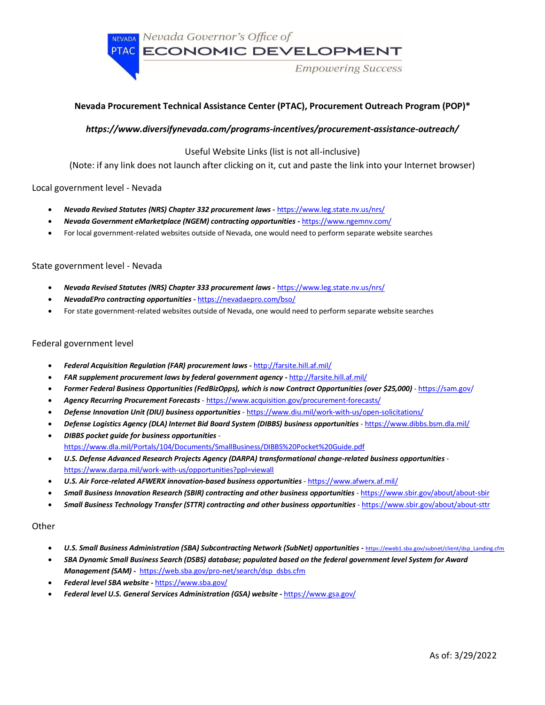NEVADA Nevada Governor's Office of

PTAC ECONOMIC DEVELOPMENT

**Empowering Success** 

# **Nevada Procurement Technical Assistance Center (PTAC), Procurement Outreach Program (POP)\***

## *https://www.diversifynevada.com/programs-incentives/procurement-assistance-outreach/*

Useful Website Links (list is not all-inclusive)

(Note: if any link does not launch after clicking on it, cut and paste the link into your Internet browser)

## Local government level - Nevada

- *Nevada Revised Statutes (NRS) Chapter 332 procurement laws* **-** <https://www.leg.state.nv.us/nrs/>
- *Nevada Government eMarketplace (NGEM) contracting opportunities* **-** <https://www.ngemnv.com/>
- For local government-related websites outside of Nevada, one would need to perform separate website searches

### State government level - Nevada

- *Nevada Revised Statutes (NRS) Chapter 333 procurement laws* **-** <https://www.leg.state.nv.us/nrs/>
- *NevadaEPro contracting opportunities -* <https://nevadaepro.com/bso/>
- For state government-related websites outside of Nevada, one would need to perform separate website searches

### Federal government level

- *Federal Acquisition Regulation (FAR) procurement laws* **-** <http://farsite.hill.af.mil/>
- *FAR supplement procurement laws by federal government agency* **-** <http://farsite.hill.af.mil/>
- *Former Federal Business Opportunities (FedBizOpps), which is now Contract Opportunities (over \$25,000)* <https://sam.gov/>
- *Agency Recurring Procurement Forecasts* [https://www.acquisition.gov/procurement-forecasts/](https://www.dibbs.bsm.dla.mil/)
- *Defense Innovation Unit (DIU) business opportunities*  [https://www.diu.mil/work-with-us/open-solicitations/](https://www.dibbs.bsm.dla.mil/)
- *Defense Logistics Agency (DLA) Internet Bid Board System (DIBBS) business opportunities*  <https://www.dibbs.bsm.dla.mil/>
- *DIBBS pocket guide for business opportunities*  <https://www.dla.mil/Portals/104/Documents/SmallBusiness/DIBBS%20Pocket%20Guide.pdf>
- *U.S. Defense Advanced Research Projects Agency (DARPA) transformational change-related business opportunities*  <https://www.darpa.mil/work-with-us/opportunities?ppl=viewall>
- *U.S. Air Force-related AFWERX innovation-based business opportunities*  <https://www.afwerx.af.mil/>
- *Small Business Innovation Research (SBIR) contracting and other business opportunities*  <https://www.sbir.gov/about/about-sbir>
- *Small Business Technology Transfer (STTR) contracting and other business opportunities* <https://www.sbir.gov/about/about-sttr>

### **Other**

- *U.S. Small Business Administration (SBA) Subcontracting Network (SubNet) opportunities -* [https://eweb1.sba.gov/subnet/client/dsp\\_Landing.cfm](https://eweb1.sba.gov/subnet/client/dsp_Landing.cfm)
- *SBA Dynamic Small Business Search (DSBS) database; populated based on the federal government level System for Award Management (SAM) -* [https://web.sba.gov/pro-net/search/dsp\\_dsbs.cfm](https://web.sba.gov/pro-net/search/dsp_dsbs.cfm)
- *Federal level SBA website -* <https://www.sba.gov/>
- *Federal level U.S. General Services Administration (GSA) website -* <https://www.gsa.gov/>